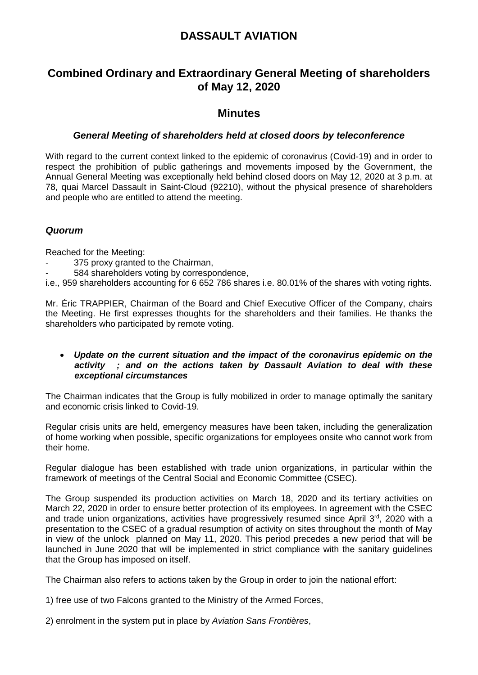# **DASSAULT AVIATION**

# **Combined Ordinary and Extraordinary General Meeting of shareholders of May 12, 2020**

## **Minutes**

### *General Meeting of shareholders held at closed doors by teleconference*

With regard to the current context linked to the epidemic of coronavirus (Covid-19) and in order to respect the prohibition of public gatherings and movements imposed by the Government, the Annual General Meeting was exceptionally held behind closed doors on May 12, 2020 at 3 p.m. at 78, quai Marcel Dassault in Saint-Cloud (92210), without the physical presence of shareholders and people who are entitled to attend the meeting.

### *Quorum*

Reached for the Meeting:

- 375 proxy granted to the Chairman,
- 584 shareholders voting by correspondence,

i.e., 959 shareholders accounting for 6 652 786 shares i.e. 80.01% of the shares with voting rights.

Mr. Éric TRAPPIER, Chairman of the Board and Chief Executive Officer of the Company, chairs the Meeting. He first expresses thoughts for the shareholders and their families. He thanks the shareholders who participated by remote voting.

#### *Update on the current situation and the impact of the coronavirus epidemic on the activity ; and on the actions taken by Dassault Aviation to deal with these exceptional circumstances*

The Chairman indicates that the Group is fully mobilized in order to manage optimally the sanitary and economic crisis linked to Covid-19.

Regular crisis units are held, emergency measures have been taken, including the generalization of home working when possible, specific organizations for employees onsite who cannot work from their home.

Regular dialogue has been established with trade union organizations, in particular within the framework of meetings of the Central Social and Economic Committee (CSEC).

The Group suspended its production activities on March 18, 2020 and its tertiary activities on March 22, 2020 in order to ensure better protection of its employees. In agreement with the CSEC and trade union organizations, activities have progressively resumed since April 3<sup>rd</sup>, 2020 with a presentation to the CSEC of a gradual resumption of activity on sites throughout the month of May in view of the unlock planned on May 11, 2020. This period precedes a new period that will be launched in June 2020 that will be implemented in strict compliance with the sanitary guidelines that the Group has imposed on itself.

The Chairman also refers to actions taken by the Group in order to join the national effort:

1) free use of two Falcons granted to the Ministry of the Armed Forces,

2) enrolment in the system put in place by *Aviation Sans Frontières*,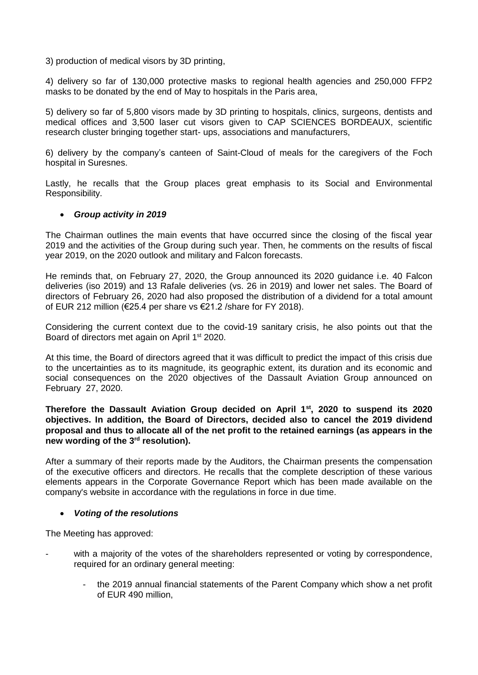3) production of medical visors by 3D printing,

4) delivery so far of 130,000 protective masks to regional health agencies and 250,000 FFP2 masks to be donated by the end of May to hospitals in the Paris area,

5) delivery so far of 5,800 visors made by 3D printing to hospitals, clinics, surgeons, dentists and medical offices and 3,500 laser cut visors given to CAP SCIENCES BORDEAUX, scientific research cluster bringing together start- ups, associations and manufacturers,

6) delivery by the company's canteen of Saint-Cloud of meals for the caregivers of the Foch hospital in Suresnes.

Lastly, he recalls that the Group places great emphasis to its Social and Environmental Responsibility.

#### *Group activity in 2019*

The Chairman outlines the main events that have occurred since the closing of the fiscal year 2019 and the activities of the Group during such year. Then, he comments on the results of fiscal year 2019, on the 2020 outlook and military and Falcon forecasts.

He reminds that, on February 27, 2020, the Group announced its 2020 guidance i.e. 40 Falcon deliveries (iso 2019) and 13 Rafale deliveries (vs. 26 in 2019) and lower net sales. The Board of directors of February 26, 2020 had also proposed the distribution of a dividend for a total amount of EUR 212 million (€25.4 per share vs €21.2 /share for FY 2018).

Considering the current context due to the covid-19 sanitary crisis, he also points out that the Board of directors met again on April 1<sup>st</sup> 2020.

At this time, the Board of directors agreed that it was difficult to predict the impact of this crisis due to the uncertainties as to its magnitude, its geographic extent, its duration and its economic and social consequences on the 2020 objectives of the Dassault Aviation Group announced on February 27, 2020.

**Therefore the Dassault Aviation Group decided on April 1st, 2020 to suspend its 2020 objectives. In addition, the Board of Directors, decided also to cancel the 2019 dividend proposal and thus to allocate all of the net profit to the retained earnings (as appears in the new wording of the 3rd resolution).**

After a summary of their reports made by the Auditors, the Chairman presents the compensation of the executive officers and directors. He recalls that the complete description of these various elements appears in the Corporate Governance Report which has been made available on the company's website in accordance with the regulations in force in due time.

#### *Voting of the resolutions*

The Meeting has approved:

- with a majority of the votes of the shareholders represented or voting by correspondence, required for an ordinary general meeting:
	- the 2019 annual financial statements of the Parent Company which show a net profit of EUR 490 million,